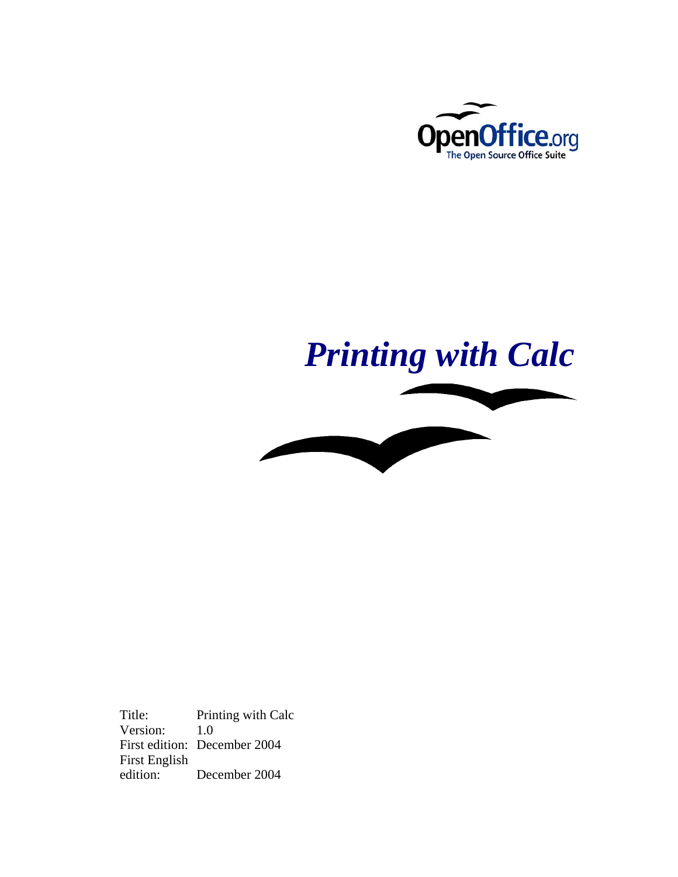

# *Printing with Calc*



Title: Printing with Calc Version: 1.0 First edition: December 2004 First English December 2004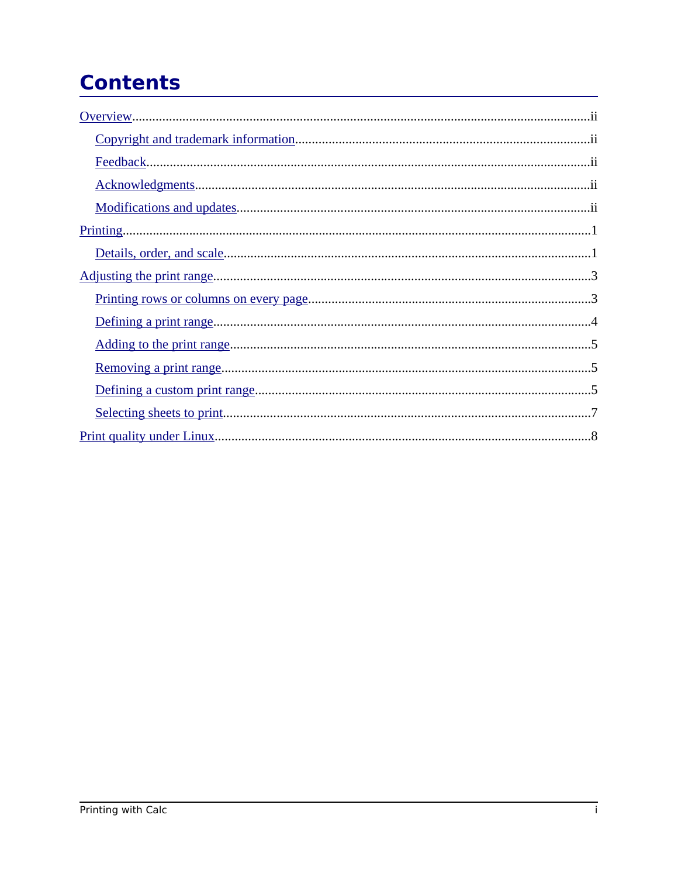# **Contents**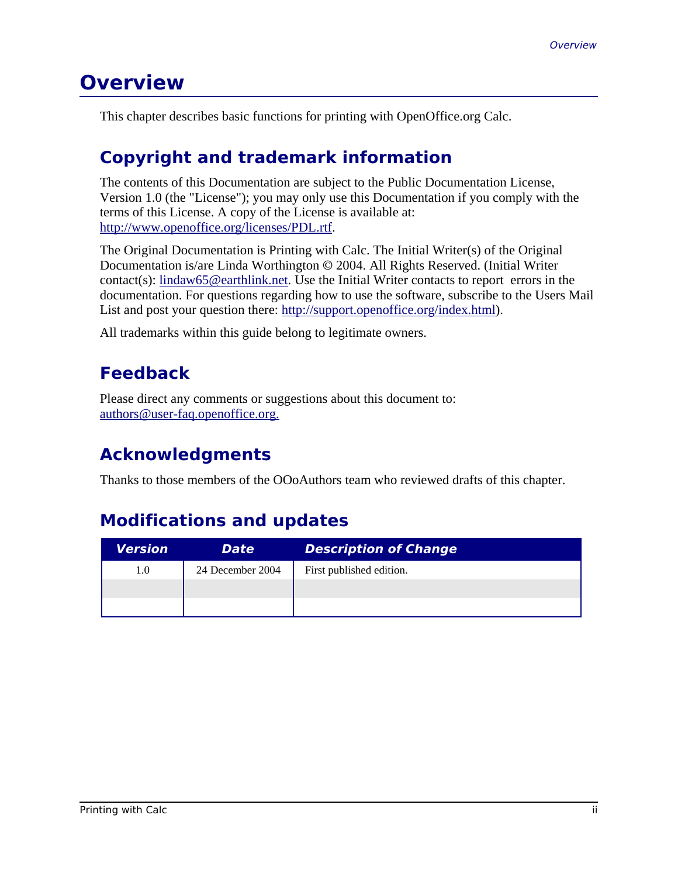## **Overview**

This chapter describes basic functions for printing with OpenOffice.org Calc.

## **Copyright and trademark information**

The contents of this Documentation are subject to the Public Documentation License, Version 1.0 (the "License"); you may only use this Documentation if you comply with the terms of this License. A copy of the License is available at: http://www.openoffice.org/licenses/PDL.rtf.

The Original Documentation is Printing with Calc. The Initial Writer(s) of the Original Documentation is/are Linda Worthington © 2004. All Rights Reserved. (Initial Writer contact(s): lindaw65@earthlink.net. Use the Initial Writer contacts to report errors in the documentation. For questions regarding how to use the software, subscribe to the Users Mail List and post your question there: http://support.openoffice.org/index.html).

All trademarks within this guide belong to legitimate owners.

## **Feedback**

Please direct any comments or suggestions about this document to: authors@user-faq.openoffice.org.

## **Acknowledgments**

Thanks to those members of the OOoAuthors team who reviewed drafts of this chapter.

## **Modifications and updates**

| Version | <b>Date</b>      | <b>Description of Change</b> |
|---------|------------------|------------------------------|
| 1.0     | 24 December 2004 | First published edition.     |
|         |                  |                              |
|         |                  |                              |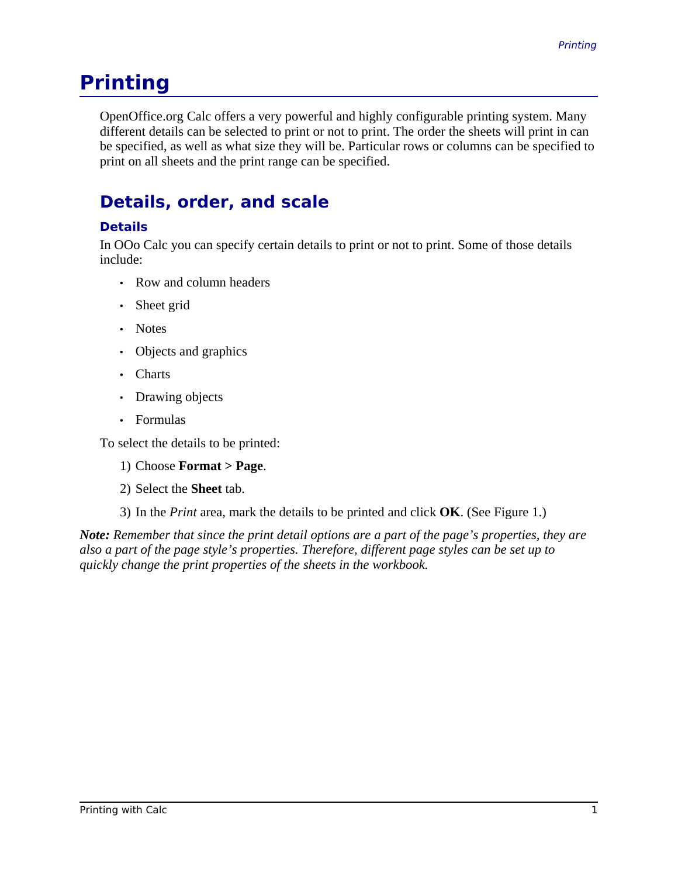## **Printing**

OpenOffice.org Calc offers a very powerful and highly configurable printing system. Many different details can be selected to print or not to print. The order the sheets will print in can be specified, as well as what size they will be. Particular rows or columns can be specified to print on all sheets and the print range can be specified.

## **Details, order, and scale**

#### **Details**

In OOo Calc you can specify certain details to print or not to print. Some of those details include:

- Row and column headers
- Sheet grid
- Notes
- Objects and graphics
- Charts
- Drawing objects
- Formulas

To select the details to be printed:

- 1) Choose **Format > Page**.
- 2) Select the **Sheet** tab.

3) In the *Print* area, mark the details to be printed and click **OK**. (See Figure 1.)

*Note: Remember that since the print detail options are a part of the page's properties, they are also a part of the page style's properties. Therefore, different page styles can be set up to quickly change the print properties of the sheets in the workbook.*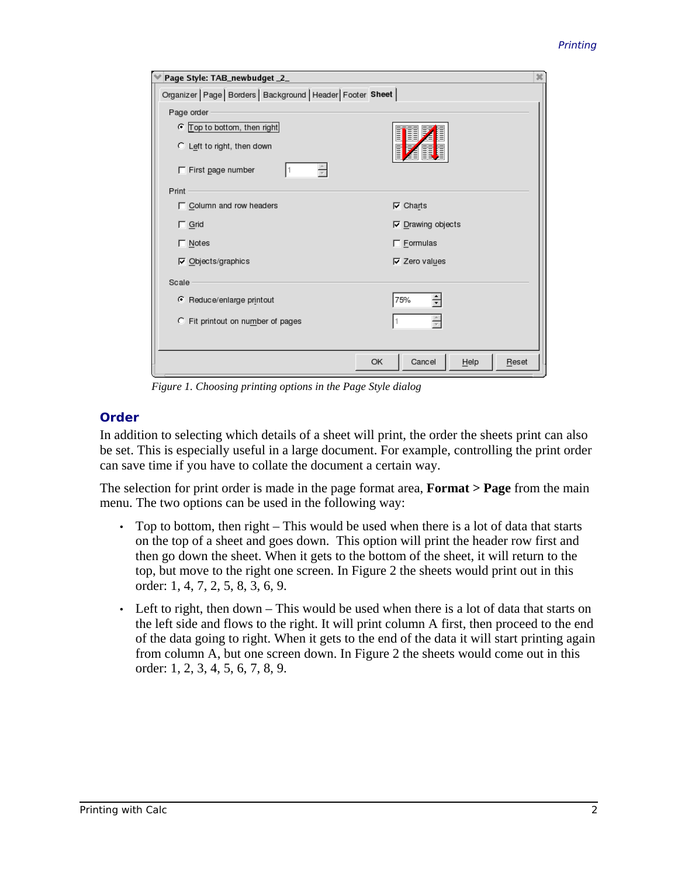| Page Style: TAB_newbudget _2_                                   | ×                             |
|-----------------------------------------------------------------|-------------------------------|
| Organizer   Page   Borders   Background   Header   Footer Sheet |                               |
| Page order                                                      |                               |
| C Top to bottom, then right                                     | Ē                             |
| C Left to right, then down                                      | Ē                             |
| $\Gamma$ First page number                                      |                               |
| Print                                                           |                               |
| □ Column and row headers                                        | $\nabla$ Charts               |
| $\Gamma$ Grid                                                   | $\nabla$ Drawing objects      |
| □ Notes                                                         | $\Gamma$ Eormulas             |
| $\nabla$ Objects/graphics                                       | $\nabla$ Zero values          |
| Scale                                                           |                               |
| Reduce/enlarge printout                                         | 75%                           |
| C Fit printout on number of pages                               |                               |
|                                                                 |                               |
|                                                                 | Cancel<br>OK<br>Help<br>Reset |

*Figure 1. Choosing printing options in the Page Style dialog*

#### **Order**

In addition to selecting which details of a sheet will print, the order the sheets print can also be set. This is especially useful in a large document. For example, controlling the print order can save time if you have to collate the document a certain way.

The selection for print order is made in the page format area, **Format > Page** from the main menu. The two options can be used in the following way:

- Top to bottom, then right This would be used when there is a lot of data that starts on the top of a sheet and goes down. This option will print the header row first and then go down the sheet. When it gets to the bottom of the sheet, it will return to the top, but move to the right one screen. In Figure 2 the sheets would print out in this order: 1, 4, 7, 2, 5, 8, 3, 6, 9.
- Left to right, then down This would be used when there is a lot of data that starts on the left side and flows to the right. It will print column A first, then proceed to the end of the data going to right. When it gets to the end of the data it will start printing again from column A, but one screen down. In Figure 2 the sheets would come out in this order: 1, 2, 3, 4, 5, 6, 7, 8, 9.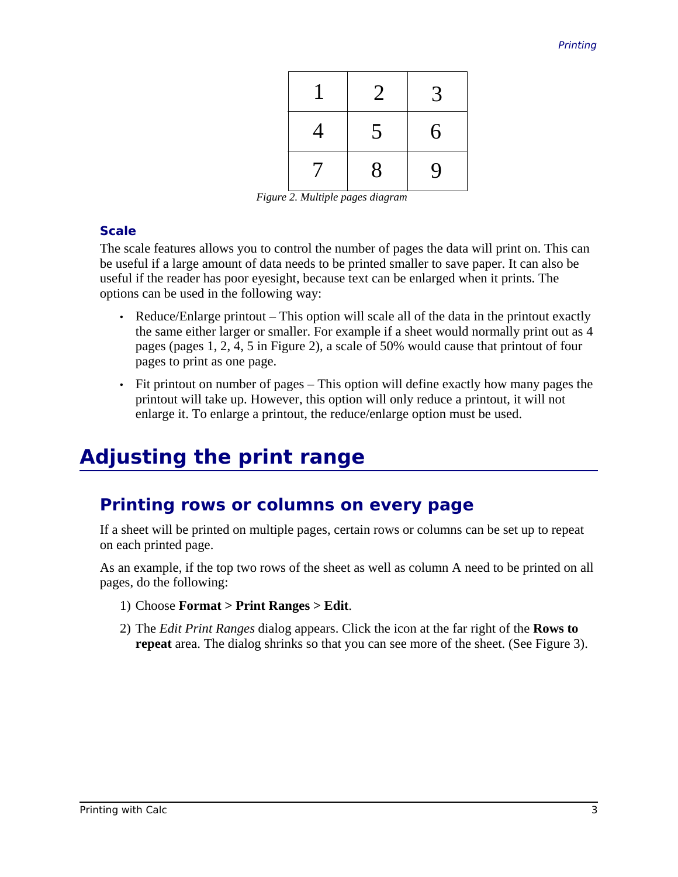|                          | $\overline{2}$ | 3 |
|--------------------------|----------------|---|
| 4                        | 5              | 6 |
| $\overline{\mathcal{U}}$ | 8              | 9 |

*Figure 2. Multiple pages diagram*

#### **Scale**

The scale features allows you to control the number of pages the data will print on. This can be useful if a large amount of data needs to be printed smaller to save paper. It can also be useful if the reader has poor eyesight, because text can be enlarged when it prints. The options can be used in the following way:

- Reduce/Enlarge printout This option will scale all of the data in the printout exactly the same either larger or smaller. For example if a sheet would normally print out as 4 pages (pages 1, 2, 4, 5 in Figure 2), a scale of 50% would cause that printout of four pages to print as one page.
- Fit printout on number of pages This option will define exactly how many pages the printout will take up. However, this option will only reduce a printout, it will not enlarge it. To enlarge a printout, the reduce/enlarge option must be used.

# **Adjusting the print range**

### **Printing rows or columns on every page**

If a sheet will be printed on multiple pages, certain rows or columns can be set up to repeat on each printed page.

As an example, if the top two rows of the sheet as well as column A need to be printed on all pages, do the following:

- 1) Choose **Format > Print Ranges > Edit**.
- 2) The *Edit Print Ranges* dialog appears. Click the icon at the far right of the **Rows to repeat** area. The dialog shrinks so that you can see more of the sheet. (See Figure 3).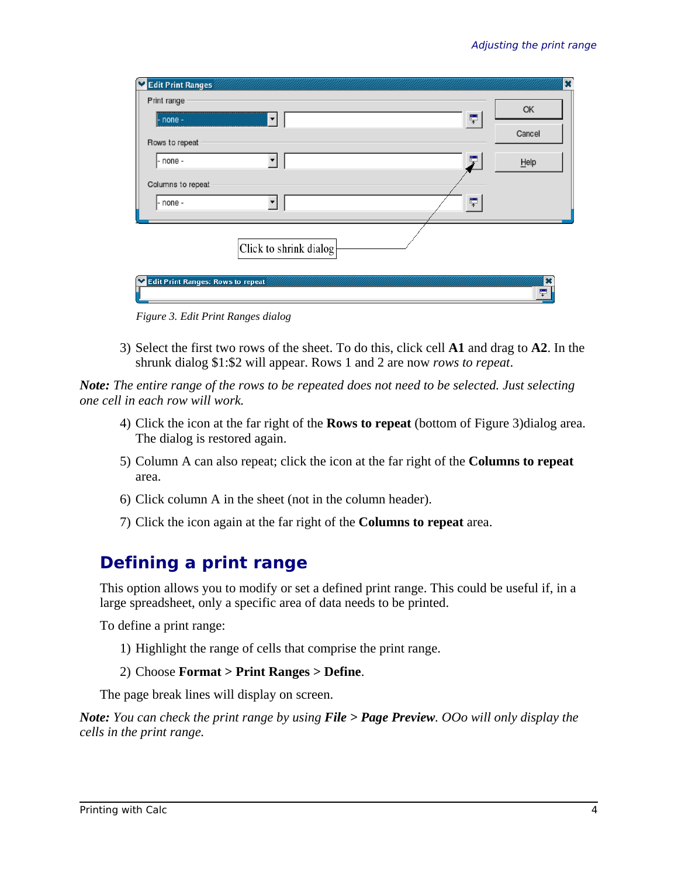| Edit Print Ranges                     | $\overline{\mathbf{x}}$ |
|---------------------------------------|-------------------------|
| Print range                           | OK                      |
| 툿<br>- none -<br>$\blacktriangledown$ | Cancel                  |
| Rows to repeat                        |                         |
| - none -                              | $H$ elp                 |
| Columns to repeat                     |                         |
| - none -                              |                         |
|                                       |                         |
| Click to shrink dialog                |                         |
| Edit Print Ranges: Rows to repeat     | ×                       |
|                                       | Ç                       |
| Figure 3. Edit Print Ranges dialog    |                         |

3) Select the first two rows of the sheet. To do this, click cell **A1** and drag to **A2**. In the shrunk dialog \$1:\$2 will appear. Rows 1 and 2 are now *rows to repeat*.

*Note: The entire range of the rows to be repeated does not need to be selected. Just selecting one cell in each row will work.*

- 4) Click the icon at the far right of the **Rows to repeat** (bottom of Figure 3)dialog area. The dialog is restored again.
- 5) Column A can also repeat; click the icon at the far right of the **Columns to repeat** area.
- 6) Click column A in the sheet (not in the column header).
- 7) Click the icon again at the far right of the **Columns to repeat** area.

## **Defining a print range**

This option allows you to modify or set a defined print range. This could be useful if, in a large spreadsheet, only a specific area of data needs to be printed.

To define a print range:

1) Highlight the range of cells that comprise the print range.

#### 2) Choose **Format > Print Ranges > Define**.

The page break lines will display on screen.

*Note: You can check the print range by using File > Page Preview. OOo will only display the cells in the print range.*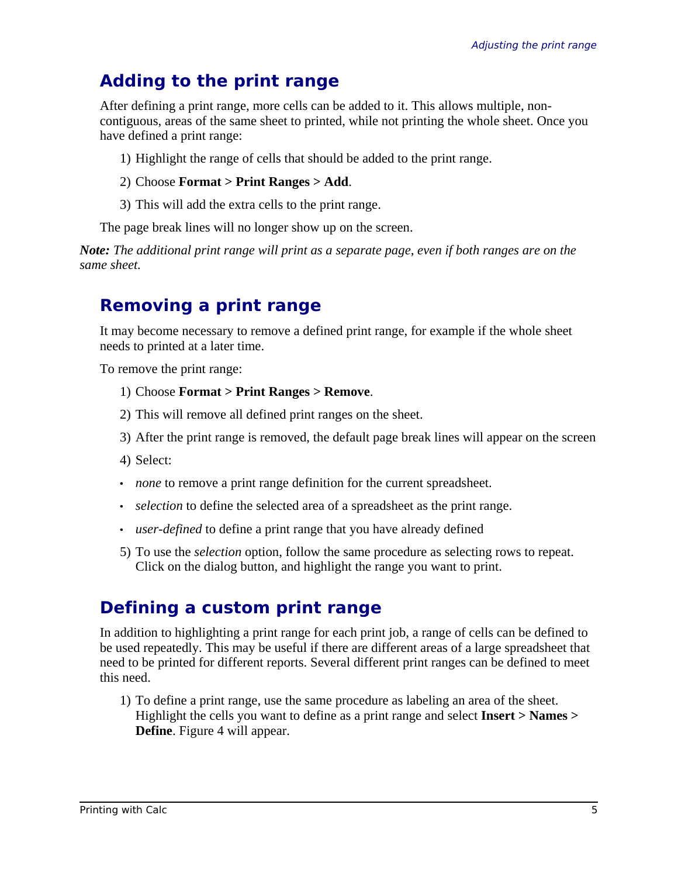## **Adding to the print range**

After defining a print range, more cells can be added to it. This allows multiple, noncontiguous, areas of the same sheet to printed, while not printing the whole sheet. Once you have defined a print range:

- 1) Highlight the range of cells that should be added to the print range.
- 2) Choose **Format > Print Ranges > Add**.
- 3) This will add the extra cells to the print range.

The page break lines will no longer show up on the screen.

*Note: The additional print range will print as a separate page, even if both ranges are on the same sheet.*

## **Removing a print range**

It may become necessary to remove a defined print range, for example if the whole sheet needs to printed at a later time.

To remove the print range:

- 1) Choose **Format > Print Ranges > Remove**.
- 2) This will remove all defined print ranges on the sheet.
- 3) After the print range is removed, the default page break lines will appear on the screen

4) Select:

- *none* to remove a print range definition for the current spreadsheet.
- *selection* to define the selected area of a spreadsheet as the print range.
- *user-defined* to define a print range that you have already defined
- 5) To use the *selection* option, follow the same procedure as selecting rows to repeat. Click on the dialog button, and highlight the range you want to print.

## **Defining a custom print range**

In addition to highlighting a print range for each print job, a range of cells can be defined to be used repeatedly. This may be useful if there are different areas of a large spreadsheet that need to be printed for different reports. Several different print ranges can be defined to meet this need.

1) To define a print range, use the same procedure as labeling an area of the sheet. Highlight the cells you want to define as a print range and select **Insert > Names > Define**. Figure 4 will appear.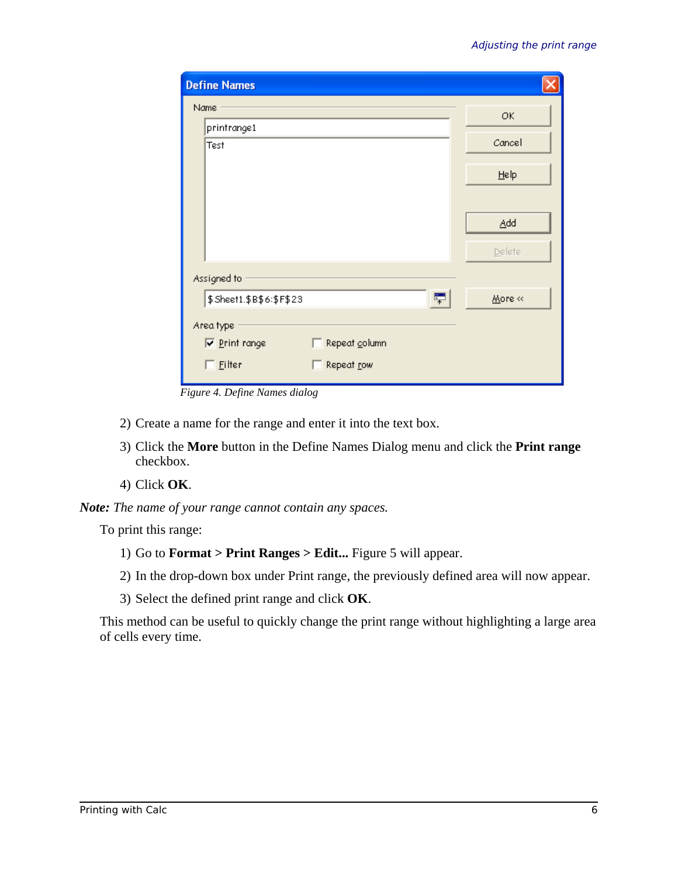| <b>Define Names</b>                   |              |  |
|---------------------------------------|--------------|--|
| Name                                  | ОК           |  |
| printrange1                           |              |  |
| Test                                  | Cancel       |  |
|                                       | Help         |  |
|                                       |              |  |
|                                       | Add          |  |
|                                       | Delete       |  |
| Assigned to                           |              |  |
| \$Sheet1.\$B\$6:\$F\$23               | 罘<br>More << |  |
| Area type                             |              |  |
| Repeat column<br><b>▽</b> Print range |              |  |
| $\Box$ Eilter<br>Repeat row           |              |  |

*Figure 4. Define Names dialog*

- 2) Create a name for the range and enter it into the text box.
- 3) Click the **More** button in the Define Names Dialog menu and click the **Print range** checkbox.
- 4) Click **OK**.

```
Note: The name of your range cannot contain any spaces.
```
To print this range:

- 1) Go to **Format > Print Ranges > Edit...** Figure 5 will appear.
- 2) In the drop-down box under Print range, the previously defined area will now appear.
- 3) Select the defined print range and click **OK**.

This method can be useful to quickly change the print range without highlighting a large area of cells every time.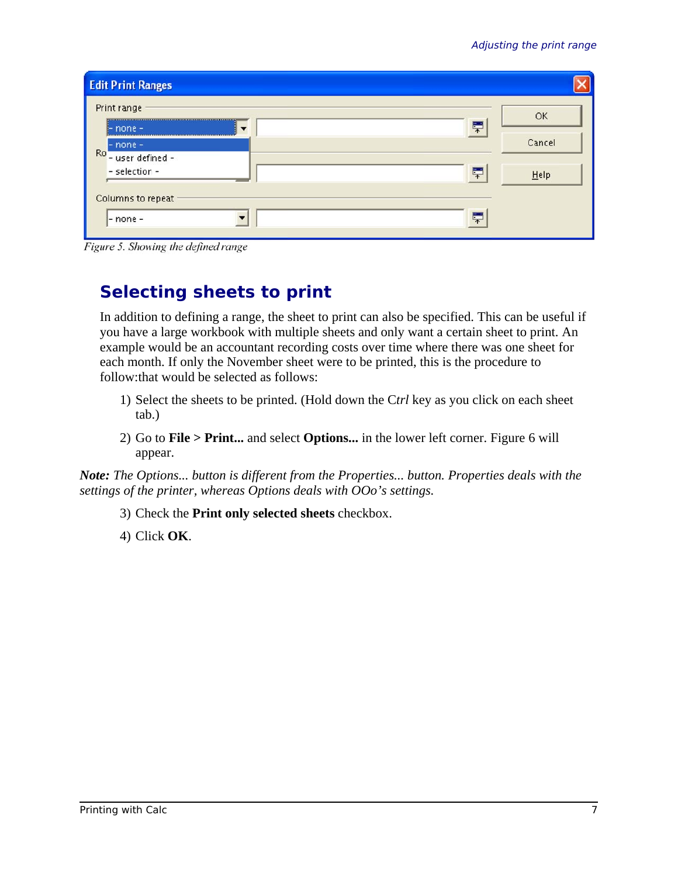| <b>Edit Print Ranges</b>                            |   |           |
|-----------------------------------------------------|---|-----------|
| Print range<br>$l$ - none -                         | 루 | <b>OK</b> |
| $-$ none $-$<br>Ro <sup>1</sup><br>- user defined - |   | Cancel    |
| - selection -                                       | 罘 | Help      |
| Columns to repeat<br>$-$ none $-$                   | 루 |           |

Figure 5. Showing the defined range

## **Selecting sheets to print**

In addition to defining a range, the sheet to print can also be specified. This can be useful if you have a large workbook with multiple sheets and only want a certain sheet to print. An example would be an accountant recording costs over time where there was one sheet for each month. If only the November sheet were to be printed, this is the procedure to follow:that would be selected as follows:

- 1) Select the sheets to be printed. (Hold down the C*trl* key as you click on each sheet tab.)
- 2) Go to **File > Print...** and select **Options...** in the lower left corner. Figure 6 will appear.

*Note: The Options... button is different from the Properties... button. Properties deals with the settings of the printer, whereas Options deals with OOo's settings.*

- 3) Check the **Print only selected sheets** checkbox.
- 4) Click **OK**.